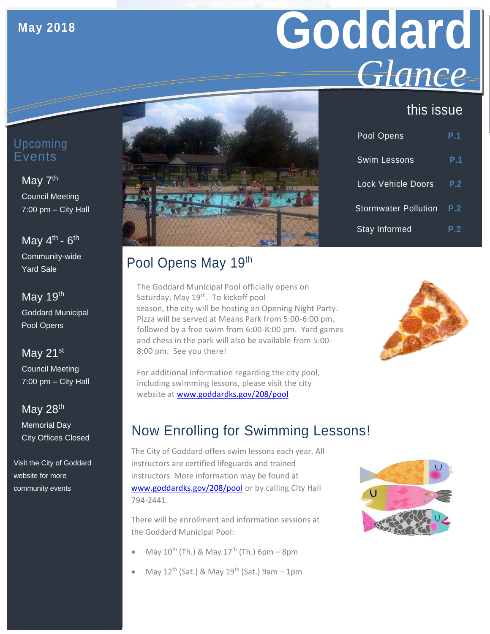#### **May 2018**

# **Goddard** *Glance*

#### this issue

| Pool Opens                  | P.1 |
|-----------------------------|-----|
| <b>Swim Lessons</b>         | P.1 |
| <b>Lock Vehicle Doors</b>   | P.2 |
| <b>Stormwater Pollution</b> | P.2 |
| <b>Stay Informed</b>        | P.2 |

#### Upcoming Events

## May 7<sup>th</sup>

Council Meeting 7:00 pm – City Hall

#### May 4<sup>th</sup> - 6<sup>th</sup> Community-wide

Yard Sale

#### May 19th Goddard Municipal Pool Opens

#### May 21<sup>st</sup>

Council Meeting 7:00 pm – City Hall

#### May 28<sup>th</sup>

Memorial Day City Offices Closed

Visit the City of Goddard website for more community events

## Pool Opens May 19th

The Goddard Municipal Pool officially opens on Saturday, May 19<sup>th</sup>. To kickoff pool season, the city will be hosting an Opening Night Party. Pizza will be served at Means Park from 5:00-6:00 pm, followed by a free swim from 6:00-8:00 pm. Yard games and chess in the park will also be available from 5:00- 8:00 pm. See you there!



For additional information regarding the city pool, including swimming lessons, please visit the city website at [www.goddardks.gov/208/pool](http://www.goddardks.gov/208/pool)

## Now Enrolling for Swimming Lessons!

The City of Goddard offers swim lessons each year. All instructors are certified lifeguards and trained instructors. More information may be found at [www.goddardks.gov/208/pool](http://goddardks.gov/208/pool) or by calling City Hall 794-2441.

There will be enrollment and information sessions at the Goddard Municipal Pool:

- May  $10^{th}$  (Th.) & May  $17^{th}$  (Th.) 6pm 8pm
- May  $12^{th}$  (Sat.) & May  $19^{th}$  (Sat.) 9am 1pm